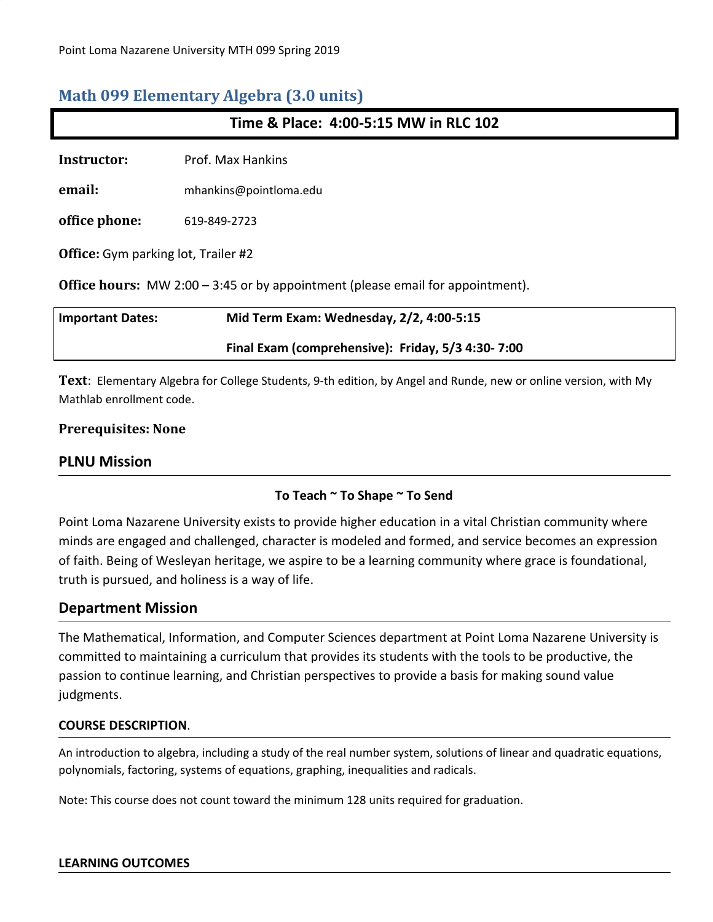# **Math 099 Elementary Algebra (3.0 units)**

| Time & Place: 4:00-5:15 MW in RLC 102                                                 |                                                   |  |
|---------------------------------------------------------------------------------------|---------------------------------------------------|--|
| <b>Instructor:</b>                                                                    | Prof. Max Hankins                                 |  |
| email:                                                                                | mhankins@pointloma.edu                            |  |
| office phone:                                                                         | 619-849-2723                                      |  |
| <b>Office:</b> Gym parking lot, Trailer #2                                            |                                                   |  |
| <b>Office hours:</b> MW 2:00 – 3:45 or by appointment (please email for appointment). |                                                   |  |
| <b>Important Dates:</b>                                                               | Mid Term Exam: Wednesday, 2/2, 4:00-5:15          |  |
|                                                                                       | Final Exam (comprehensive): Friday, 5/3 4:30-7:00 |  |

**Text**: Elementary Algebra for College Students, 9-th edition, by Angel and Runde, new or online version, with My Mathlab enrollment code.

### **Prerequisites: None**

## **PLNU Mission**

## **To Teach ~ To Shape ~ To Send**

Point Loma Nazarene University exists to provide higher education in a vital Christian community where minds are engaged and challenged, character is modeled and formed, and service becomes an expression of faith. Being of Wesleyan heritage, we aspire to be a learning community where grace is foundational, truth is pursued, and holiness is a way of life.

## **Department Mission**

The Mathematical, Information, and Computer Sciences department at Point Loma Nazarene University is committed to maintaining a curriculum that provides its students with the tools to be productive, the passion to continue learning, and Christian perspectives to provide a basis for making sound value judgments.

#### **COURSE DESCRIPTION**.

An introduction to algebra, including a study of the real number system, solutions of linear and quadratic equations, polynomials, factoring, systems of equations, graphing, inequalities and radicals.

Note: This course does not count toward the minimum 128 units required for graduation.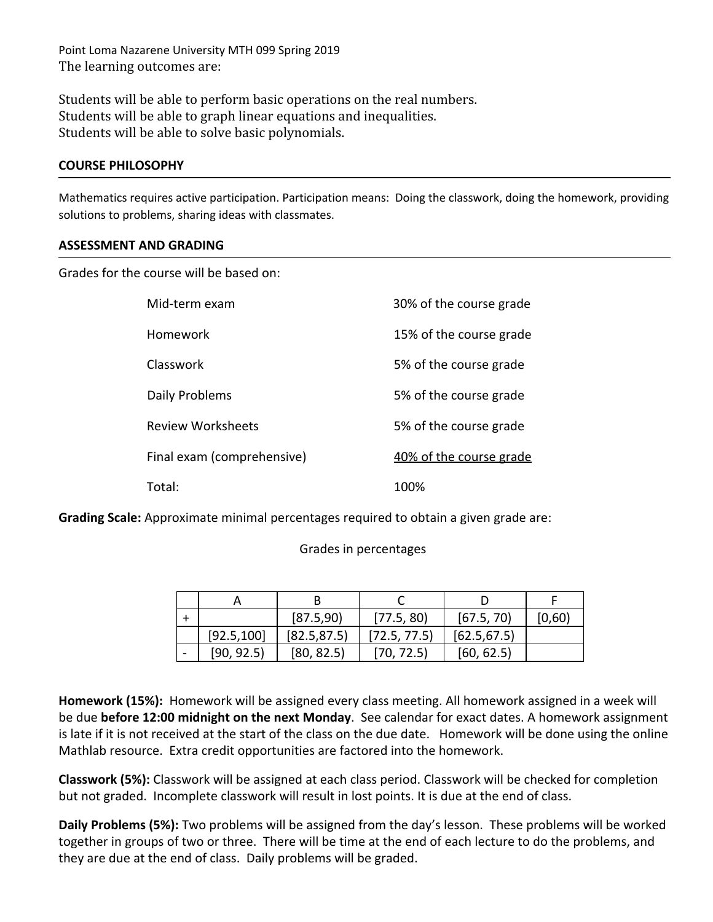Point Loma Nazarene University MTH 099 Spring 2019 The learning outcomes are:

Students will be able to perform basic operations on the real numbers. Students will be able to graph linear equations and inequalities. Students will be able to solve basic polynomials.

#### **COURSE PHILOSOPHY**

Mathematics requires active participation. Participation means: Doing the classwork, doing the homework, providing solutions to problems, sharing ideas with classmates.

#### **ASSESSMENT AND GRADING**

Grades for the course will be based on:

| Mid-term exam              | 30% of the course grade |
|----------------------------|-------------------------|
| Homework                   | 15% of the course grade |
| Classwork                  | 5% of the course grade  |
| Daily Problems             | 5% of the course grade  |
| <b>Review Worksheets</b>   | 5% of the course grade  |
| Final exam (comprehensive) | 40% of the course grade |
| Total:                     | 100%                    |

**Grading Scale:** Approximate minimal percentages required to obtain a given grade are:

#### Grades in percentages

|             | [87.5, 90]   | [77.5, 80]   | [67.5, 70]   | [0,60] |
|-------------|--------------|--------------|--------------|--------|
| [92.5, 100] | [82.5, 87.5] | [72.5, 77.5] | [62.5, 67.5] |        |
| [90, 92.5]  | [80, 82.5]   | [70, 72.5]   | [60, 62.5]   |        |

**Homework (15%):** Homework will be assigned every class meeting. All homework assigned in a week will be due **before 12:00 midnight on the next Monday**. See calendar for exact dates. A homework assignment is late if it is not received at the start of the class on the due date. Homework will be done using the online Mathlab resource. Extra credit opportunities are factored into the homework.

**Classwork (5%):** Classwork will be assigned at each class period. Classwork will be checked for completion but not graded. Incomplete classwork will result in lost points. It is due at the end of class.

**Daily Problems (5%):** Two problems will be assigned from the day's lesson. These problems will be worked together in groups of two or three. There will be time at the end of each lecture to do the problems, and they are due at the end of class. Daily problems will be graded.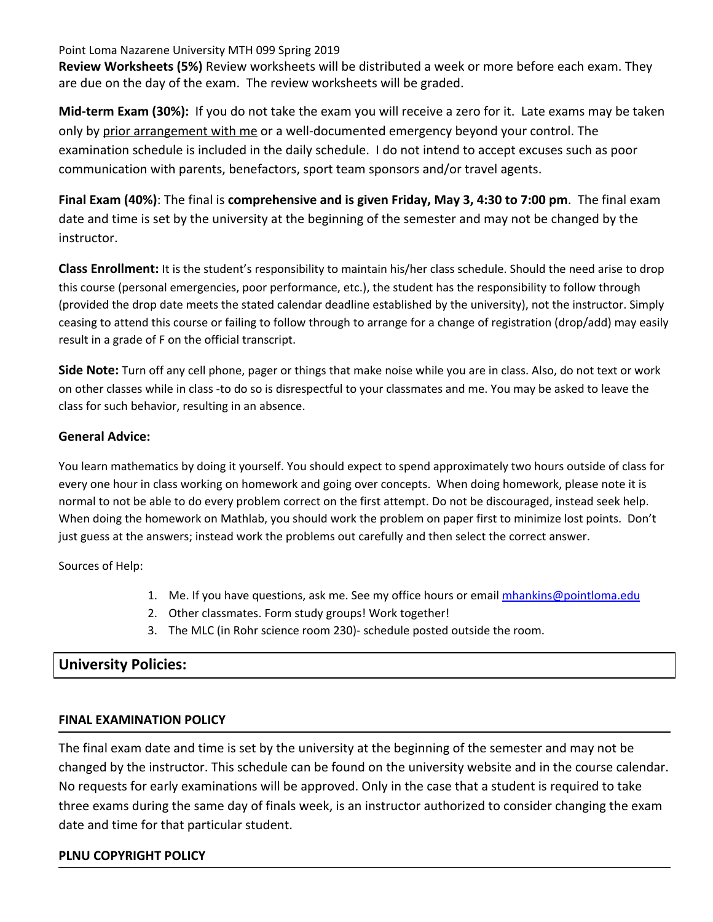Point Loma Nazarene University MTH 099 Spring 2019

**Review Worksheets (5%)** Review worksheets will be distributed a week or more before each exam. They are due on the day of the exam. The review worksheets will be graded.

**Mid-term Exam (30%):** If you do not take the exam you will receive a zero for it. Late exams may be taken only by prior arrangement with me or a well-documented emergency beyond your control. The examination schedule is included in the daily schedule. I do not intend to accept excuses such as poor communication with parents, benefactors, sport team sponsors and/or travel agents.

**Final Exam (40%)**: The final is **comprehensive and is given Friday, May 3, 4:30 to 7:00 pm**. The final exam date and time is set by the university at the beginning of the semester and may not be changed by the instructor.

**Class Enrollment:** It is the student's responsibility to maintain his/her class schedule. Should the need arise to drop this course (personal emergencies, poor performance, etc.), the student has the responsibility to follow through (provided the drop date meets the stated calendar deadline established by the university), not the instructor. Simply ceasing to attend this course or failing to follow through to arrange for a change of registration (drop/add) may easily result in a grade of F on the official transcript.

**Side Note:** Turn off any cell phone, pager or things that make noise while you are in class. Also, do not text or work on other classes while in class -to do so is disrespectful to your classmates and me. You may be asked to leave the class for such behavior, resulting in an absence.

### **General Advice:**

You learn mathematics by doing it yourself. You should expect to spend approximately two hours outside of class for every one hour in class working on homework and going over concepts. When doing homework, please note it is normal to not be able to do every problem correct on the first attempt. Do not be discouraged, instead seek help. When doing the homework on Mathlab, you should work the problem on paper first to minimize lost points. Don't just guess at the answers; instead work the problems out carefully and then select the correct answer.

Sources of Help:

- 1. Me. If you have questions, ask me. See my office hours or email [mhankins@pointloma.edu](mailto:mhankins@pointloma.edu)
- 2. Other classmates. Form study groups! Work together!
- 3. The MLC (in Rohr science room 230)- schedule posted outside the room.

# **University Policies:**

## **FINAL EXAMINATION POLICY**

The final exam date and time is set by the university at the beginning of the semester and may not be changed by the instructor. This schedule can be found on the university website and in the course calendar. No requests for early examinations will be approved. Only in the case that a student is required to take three exams during the same day of finals week, is an instructor authorized to consider changing the exam date and time for that particular student.

#### **PLNU COPYRIGHT POLICY**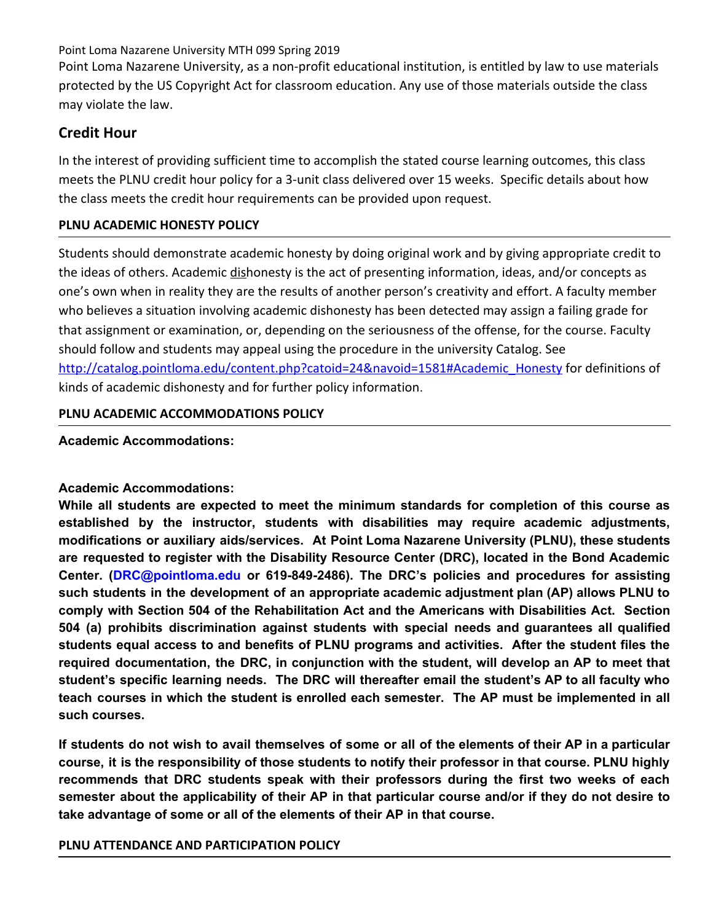Point Loma Nazarene University MTH 099 Spring 2019

Point Loma Nazarene University, as a non-profit educational institution, is entitled by law to use materials protected by the US Copyright Act for classroom education. Any use of those materials outside the class may violate the law.

# **Credit Hour**

In the interest of providing sufficient time to accomplish the stated course learning outcomes, this class meets the PLNU credit hour policy for a 3-unit class delivered over 15 weeks. Specific details about how the class meets the credit hour requirements can be provided upon request.

## **PLNU ACADEMIC HONESTY POLICY**

Students should demonstrate academic honesty by doing original work and by giving appropriate credit to the ideas of others. Academic dishonesty is the act of presenting information, ideas, and/or concepts as one's own when in reality they are the results of another person's creativity and effort. A faculty member who believes a situation involving academic dishonesty has been detected may assign a failing grade for that assignment or examination, or, depending on the seriousness of the offense, for the course. Faculty should follow and students may appeal using the procedure in the university Catalog. See [http://catalog.pointloma.edu/content.php?catoid=24&navoid=1581#Academic\\_Honesty](http://catalog.pointloma.edu/content.php?catoid=24&navoid=1581#Academic_Honesty) for definitions of kinds of academic dishonesty and for further policy information.

## **PLNU ACADEMIC ACCOMMODATIONS POLICY**

## **Academic Accommodations:**

# **Academic Accommodations:**

**While all students are expected to meet the minimum standards for completion of this course as established by the instructor, students with disabilities may require academic adjustments, modifications or auxiliary aids/services. At Point Loma Nazarene University (PLNU), these students are requested to register with the Disability Resource Center (DRC), located in the Bond Academic Center. (DRC@pointloma.edu or 619-849-2486). The DRC's policies and procedures for assisting such students in the development of an appropriate academic adjustment plan (AP) allows PLNU to comply with Section 504 of the Rehabilitation Act and the Americans with Disabilities Act. Section 504 (a) prohibits discrimination against students with special needs and guarantees all qualified students equal access to and benefits of PLNU programs and activities. After the student files the required documentation, the DRC, in conjunction with the student, will develop an AP to meet that student's specific learning needs. The DRC will thereafter email the student's AP to all faculty who teach courses in which the student is enrolled each semester. The AP must be implemented in all such courses.**

If students do not wish to avail themselves of some or all of the elements of their AP in a particular **course, it is the responsibility of those students to notify their professor in that course. PLNU highly recommends that DRC students speak with their professors during the first two weeks of each** semester about the applicability of their AP in that particular course and/or if they do not desire to **take advantage of some or all of the elements of their AP in that course.**

## **PLNU ATTENDANCE AND PARTICIPATION POLICY**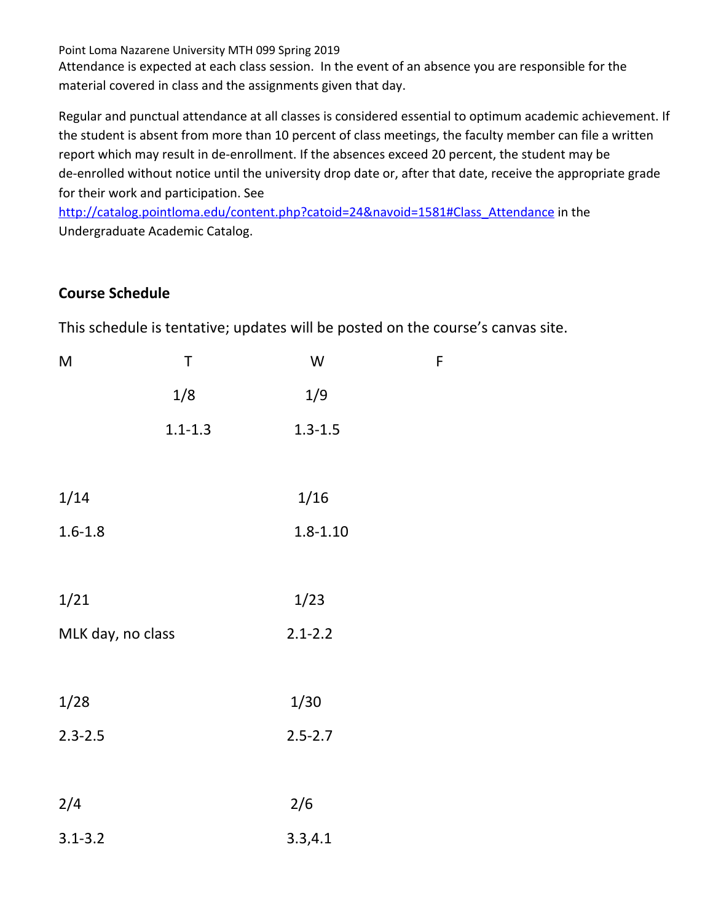Point Loma Nazarene University MTH 099 Spring 2019

Attendance is expected at each class session. In the event of an absence you are responsible for the material covered in class and the assignments given that day.

Regular and punctual attendance at all classes is considered essential to optimum academic achievement. If the student is absent from more than 10 percent of class meetings, the faculty member can file a written report which may result in de-enrollment. If the absences exceed 20 percent, the student may be de-enrolled without notice until the university drop date or, after that date, receive the appropriate grade for their work and participation. See

[http://catalog.pointloma.edu/content.php?catoid=24&navoid=1581#Class\\_Attendance](http://catalog.pointloma.edu/content.php?catoid=24&navoid=1581#Class_Attendance) in the Undergraduate Academic Catalog.

# **Course Schedule**

This schedule is tentative; updates will be posted on the course's canvas site.

| M                 | Τ           | W            | F |
|-------------------|-------------|--------------|---|
|                   | 1/8         | 1/9          |   |
|                   | $1.1 - 1.3$ | $1.3 - 1.5$  |   |
|                   |             |              |   |
| 1/14              |             | 1/16         |   |
| $1.6 - 1.8$       |             | $1.8 - 1.10$ |   |
|                   |             |              |   |
| 1/21              |             | 1/23         |   |
| MLK day, no class |             | $2.1 - 2.2$  |   |
|                   |             |              |   |
| 1/28              |             | 1/30         |   |
| $2.3 - 2.5$       |             | $2.5 - 2.7$  |   |
|                   |             |              |   |
| 2/4               |             | 2/6          |   |
| $3.1 - 3.2$       |             | 3.3, 4.1     |   |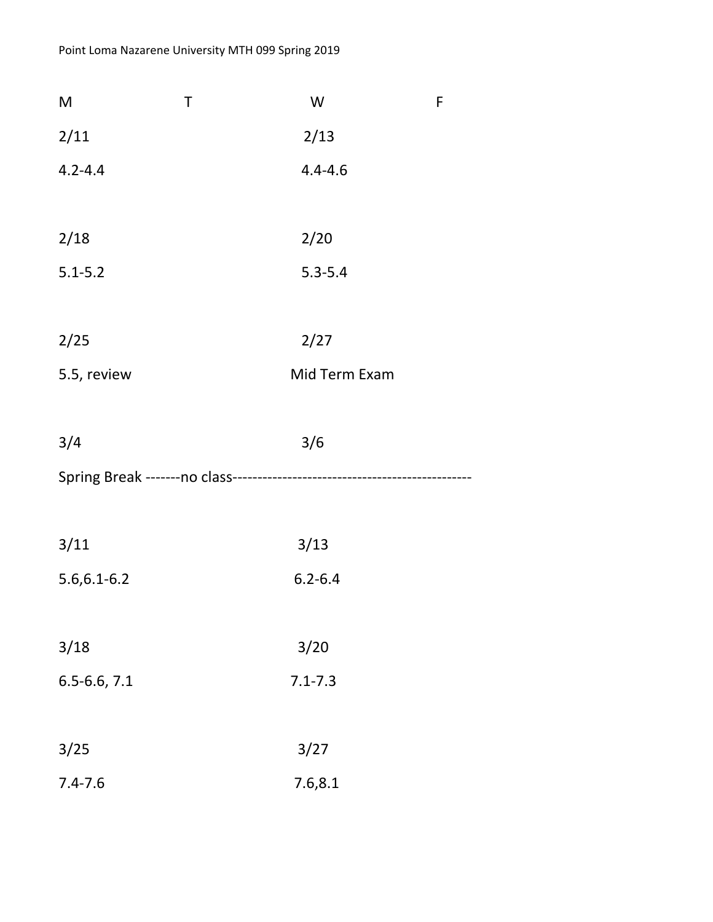| M                | T | W             | F |
|------------------|---|---------------|---|
| 2/11             |   | 2/13          |   |
| $4.2 - 4.4$      |   | $4.4 - 4.6$   |   |
|                  |   |               |   |
| 2/18             |   | 2/20          |   |
| $5.1 - 5.2$      |   | $5.3 - 5.4$   |   |
|                  |   |               |   |
| 2/25             |   | 2/27          |   |
| 5.5, review      |   | Mid Term Exam |   |
|                  |   |               |   |
| 3/4              |   | 3/6           |   |
|                  |   |               |   |
|                  |   |               |   |
| 3/11             |   | 3/13          |   |
| $5.6, 6.1 - 6.2$ |   | $6.2 - 6.4$   |   |
|                  |   |               |   |
| 3/18             |   | 3/20          |   |
| $6.5 - 6.6, 7.1$ |   | $7.1 - 7.3$   |   |
|                  |   |               |   |
| 3/25             |   | 3/27          |   |
| $7.4 - 7.6$      |   | 7.6,8.1       |   |